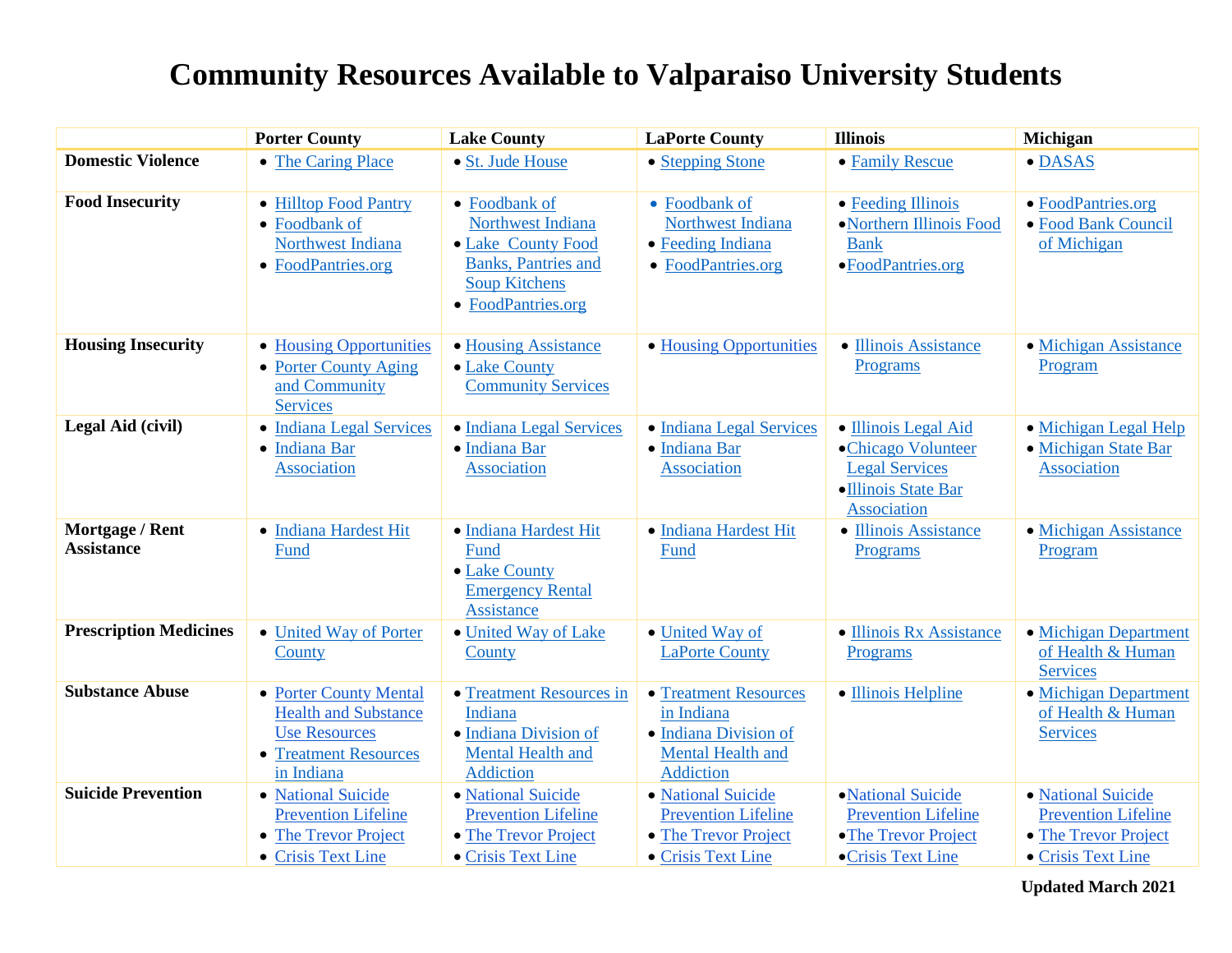## **Community Resources Available to Valparaiso University Students**

|                                      | <b>Porter County</b>                                                                                                      | <b>Lake County</b>                                                                                                                    | <b>LaPorte County</b>                                                                                 | <b>Illinois</b>                                                                                                  | Michigan                                                                                       |
|--------------------------------------|---------------------------------------------------------------------------------------------------------------------------|---------------------------------------------------------------------------------------------------------------------------------------|-------------------------------------------------------------------------------------------------------|------------------------------------------------------------------------------------------------------------------|------------------------------------------------------------------------------------------------|
| <b>Domestic Violence</b>             | • The Caring Place                                                                                                        | • St. Jude House                                                                                                                      | • Stepping Stone                                                                                      | • Family Rescue                                                                                                  | · DASAS                                                                                        |
| <b>Food Insecurity</b>               | • Hilltop Food Pantry<br>• Foodbank of<br>Northwest Indiana<br>• FoodPantries.org                                         | • Foodbank of<br>Northwest Indiana<br>• Lake County Food<br><b>Banks</b> , Pantries and<br><b>Soup Kitchens</b><br>• FoodPantries.org | • Foodbank of<br>Northwest Indiana<br>• Feeding Indiana<br>• FoodPantries.org                         | • Feeding Illinois<br>• Northern Illinois Food<br><b>Bank</b><br>•FoodPantries.org                               | • FoodPantries.org<br>• Food Bank Council<br>of Michigan                                       |
| <b>Housing Insecurity</b>            | • Housing Opportunities<br>• Porter County Aging<br>and Community<br><b>Services</b>                                      | • Housing Assistance<br>• Lake County<br><b>Community Services</b>                                                                    | • Housing Opportunities                                                                               | • Illinois Assistance<br>Programs                                                                                | • Michigan Assistance<br>Program                                                               |
| Legal Aid (civil)                    | • Indiana Legal Services<br>• Indiana Bar<br><b>Association</b>                                                           | · Indiana Legal Services<br>· Indiana Bar<br><b>Association</b>                                                                       | • Indiana Legal Services<br>· Indiana Bar<br><b>Association</b>                                       | • Illinois Legal Aid<br>•Chicago Volunteer<br><b>Legal Services</b><br>·Illinois State Bar<br><b>Association</b> | • Michigan Legal Help<br>• Michigan State Bar<br><b>Association</b>                            |
| Mortgage / Rent<br><b>Assistance</b> | • Indiana Hardest Hit<br>Fund                                                                                             | · Indiana Hardest Hit<br>Fund<br>• Lake County<br><b>Emergency Rental</b><br><b>Assistance</b>                                        | · Indiana Hardest Hit<br>Fund                                                                         | • Illinois Assistance<br>Programs                                                                                | • Michigan Assistance<br>Program                                                               |
| <b>Prescription Medicines</b>        | • United Way of Porter<br>County                                                                                          | • United Way of Lake<br>County                                                                                                        | • United Way of<br><b>LaPorte County</b>                                                              | · Illinois Rx Assistance<br>Programs                                                                             | • Michigan Department<br>of Health & Human<br><b>Services</b>                                  |
| <b>Substance Abuse</b>               | • Porter County Mental<br><b>Health and Substance</b><br><b>Use Resources</b><br><b>Treatment Resources</b><br>in Indiana | • Treatment Resources in<br>Indiana<br>· Indiana Division of<br>Mental Health and<br><b>Addiction</b>                                 | • Treatment Resources<br>in Indiana<br>• Indiana Division of<br>Mental Health and<br><b>Addiction</b> | • Illinois Helpline                                                                                              | • Michigan Department<br>of Health & Human<br><b>Services</b>                                  |
| <b>Suicide Prevention</b>            | • National Suicide<br><b>Prevention Lifeline</b><br>• The Trevor Project<br>• Crisis Text Line                            | · National Suicide<br><b>Prevention Lifeline</b><br>• The Trevor Project<br>• Crisis Text Line                                        | • National Suicide<br><b>Prevention Lifeline</b><br>• The Trevor Project<br>• Crisis Text Line        | • National Suicide<br><b>Prevention Lifeline</b><br>•The Trevor Project<br>•Crisis Text Line                     | • National Suicide<br><b>Prevention Lifeline</b><br>• The Trevor Project<br>• Crisis Text Line |

**Updated March 2021**